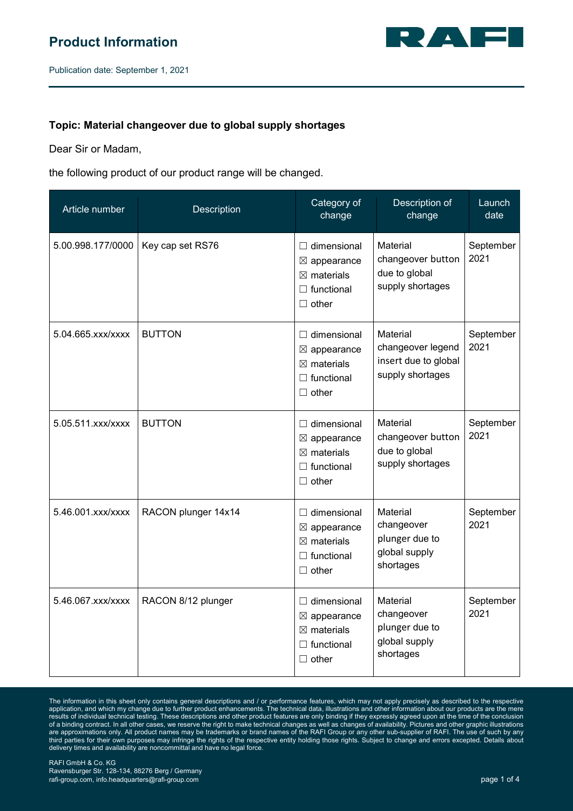

Publication date: September 1, 2021

## **Topic: Material changeover due to global supply shortages**

Dear Sir or Madam,

the following product of our product range will be changed.

| Article number    | Description         | Category of<br>change                                                                                      | Description of<br>change                                                  | Launch<br>date    |
|-------------------|---------------------|------------------------------------------------------------------------------------------------------------|---------------------------------------------------------------------------|-------------------|
| 5.00.998.177/0000 | Key cap set RS76    | $\Box$ dimensional<br>$\boxtimes$ appearance<br>$\boxtimes$ materials<br>$\Box$ functional<br>$\Box$ other | Material<br>changeover button<br>due to global<br>supply shortages        | September<br>2021 |
| 5.04.665.xxx/xxxx | <b>BUTTON</b>       | $\Box$ dimensional<br>$\boxtimes$ appearance<br>$\boxtimes$ materials<br>$\Box$ functional<br>$\Box$ other | Material<br>changeover legend<br>insert due to global<br>supply shortages | September<br>2021 |
| 5.05.511.xxx/xxxx | <b>BUTTON</b>       | $\Box$ dimensional<br>$\boxtimes$ appearance<br>$\boxtimes$ materials<br>$\Box$ functional<br>$\Box$ other | Material<br>changeover button<br>due to global<br>supply shortages        | September<br>2021 |
| 5.46.001.xxx/xxxx | RACON plunger 14x14 | $\Box$ dimensional<br>$\boxtimes$ appearance<br>$\boxtimes$ materials<br>$\Box$ functional<br>$\Box$ other | Material<br>changeover<br>plunger due to<br>global supply<br>shortages    | September<br>2021 |
| 5.46.067.xxx/xxxx | RACON 8/12 plunger  | $\Box$ dimensional<br>$\boxtimes$ appearance<br>$\boxtimes$ materials<br>$\Box$ functional<br>$\Box$ other | Material<br>changeover<br>plunger due to<br>global supply<br>shortages    | September<br>2021 |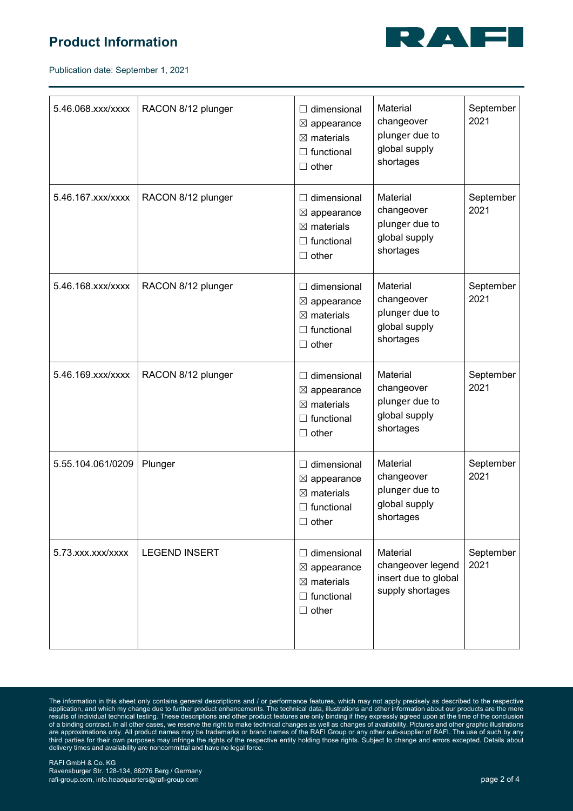## **Product Information**



Publication date: September 1, 2021

| 5.46.068.xxx/xxxx | RACON 8/12 plunger   | $\Box$ dimensional<br>$\boxtimes$ appearance<br>$\boxtimes$ materials<br>$\Box$ functional<br>$\Box$ other | Material<br>changeover<br>plunger due to<br>global supply<br>shortages    | September<br>2021 |
|-------------------|----------------------|------------------------------------------------------------------------------------------------------------|---------------------------------------------------------------------------|-------------------|
| 5.46.167.xxx/xxxx | RACON 8/12 plunger   | $\Box$ dimensional<br>$\boxtimes$ appearance<br>$\boxtimes$ materials<br>$\Box$ functional<br>$\Box$ other | Material<br>changeover<br>plunger due to<br>global supply<br>shortages    | September<br>2021 |
| 5.46.168.xxx/xxxx | RACON 8/12 plunger   | $\Box$ dimensional<br>$\boxtimes$ appearance<br>$\boxtimes$ materials<br>$\Box$ functional<br>$\Box$ other | Material<br>changeover<br>plunger due to<br>global supply<br>shortages    | September<br>2021 |
| 5.46.169.xxx/xxxx | RACON 8/12 plunger   | $\Box$ dimensional<br>$\boxtimes$ appearance<br>$\boxtimes$ materials<br>$\Box$ functional<br>$\Box$ other | Material<br>changeover<br>plunger due to<br>global supply<br>shortages    | September<br>2021 |
| 5.55.104.061/0209 | Plunger              | $\Box$ dimensional<br>$\boxtimes$ appearance<br>$\boxtimes$ materials<br>$\Box$ functional<br>$\Box$ other | Material<br>changeover<br>plunger due to<br>global supply<br>shortages    | September<br>2021 |
| 5.73.xxx.xxx/xxxx | <b>LEGEND INSERT</b> | $\Box$ dimensional<br>$\boxtimes$ appearance<br>$\boxtimes$ materials<br>$\Box$ functional<br>$\Box$ other | Material<br>changeover legend<br>insert due to global<br>supply shortages | September<br>2021 |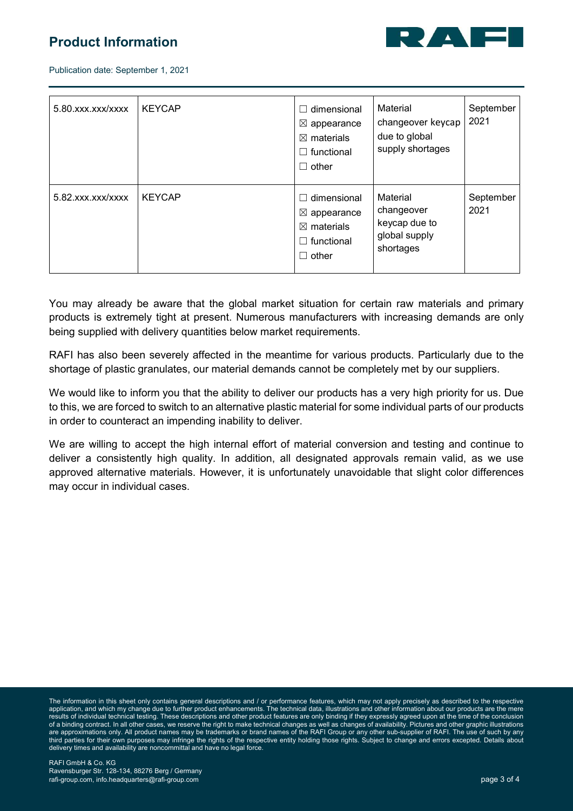## **Product Information**



Publication date: September 1, 2021

| 5.80.xxx.xxx/xxxx | <b>KEYCAP</b> | $\Box$ dimensional<br>$\boxtimes$ appearance<br>$\boxtimes$ materials<br>$\Box$ functional<br>$\Box$ other | Material<br>changeover keycap<br>due to global<br>supply shortages    | September<br>2021 |
|-------------------|---------------|------------------------------------------------------------------------------------------------------------|-----------------------------------------------------------------------|-------------------|
| 5.82.xxx.xxx/xxxx | <b>KEYCAP</b> | dimensional<br>$\boxtimes$ appearance<br>$\boxtimes$ materials<br>$\Box$ functional<br>$\Box$ other        | Material<br>changeover<br>keycap due to<br>global supply<br>shortages | September<br>2021 |

You may already be aware that the global market situation for certain raw materials and primary products is extremely tight at present. Numerous manufacturers with increasing demands are only being supplied with delivery quantities below market requirements.

RAFI has also been severely affected in the meantime for various products. Particularly due to the shortage of plastic granulates, our material demands cannot be completely met by our suppliers.

We would like to inform you that the ability to deliver our products has a very high priority for us. Due to this, we are forced to switch to an alternative plastic material for some individual parts of our products in order to counteract an impending inability to deliver.

We are willing to accept the high internal effort of material conversion and testing and continue to deliver a consistently high quality. In addition, all designated approvals remain valid, as we use approved alternative materials. However, it is unfortunately unavoidable that slight color differences may occur in individual cases.